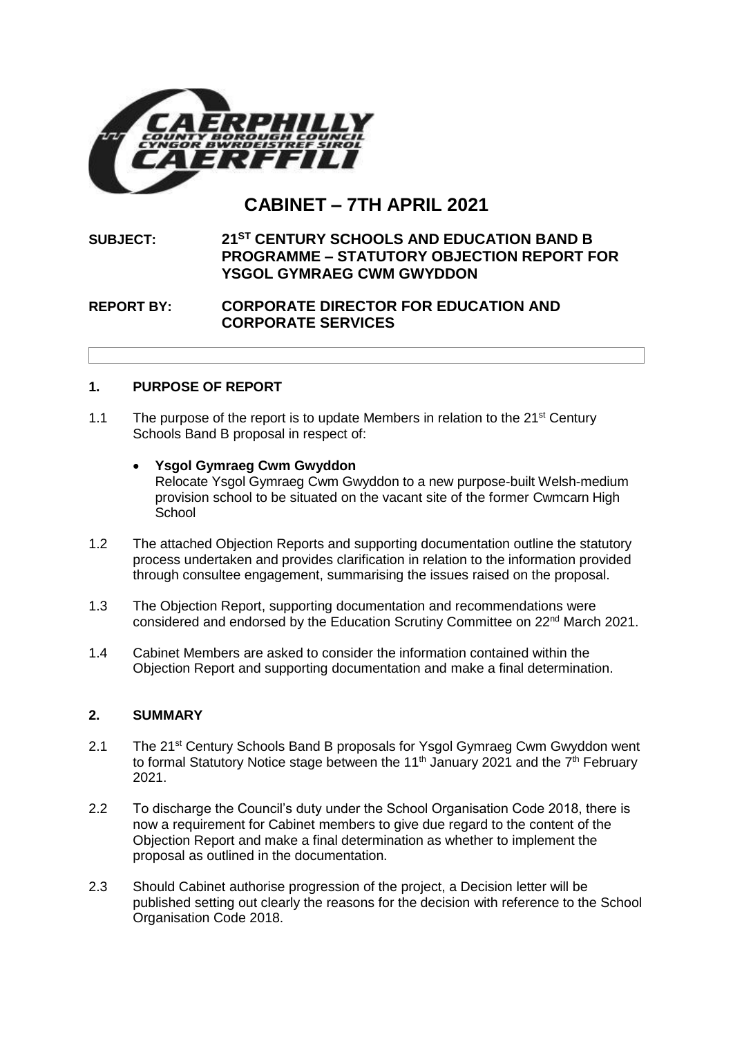

# **CABINET – 7TH APRIL 2021**

# **SUBJECT: 21ST CENTURY SCHOOLS AND EDUCATION BAND B PROGRAMME – STATUTORY OBJECTION REPORT FOR YSGOL GYMRAEG CWM GWYDDON**

# **REPORT BY: CORPORATE DIRECTOR FOR EDUCATION AND CORPORATE SERVICES**

# **1. PURPOSE OF REPORT**

- 1.1 The purpose of the report is to update Members in relation to the  $21<sup>st</sup>$  Century Schools Band B proposal in respect of:
	- **Ysgol Gymraeg Cwm Gwyddon** Relocate Ysgol Gymraeg Cwm Gwyddon to a new purpose-built Welsh-medium provision school to be situated on the vacant site of the former Cwmcarn High **School**
- 1.2 The attached Objection Reports and supporting documentation outline the statutory process undertaken and provides clarification in relation to the information provided through consultee engagement, summarising the issues raised on the proposal.
- 1.3 The Objection Report, supporting documentation and recommendations were considered and endorsed by the Education Scrutiny Committee on 22nd March 2021.
- 1.4 Cabinet Members are asked to consider the information contained within the Objection Report and supporting documentation and make a final determination.

#### **2. SUMMARY**

- 2.1 The 21<sup>st</sup> Century Schools Band B proposals for Ysgol Gymraeg Cwm Gwyddon went to formal Statutory Notice stage between the 11<sup>th</sup> January 2021 and the  $7<sup>th</sup>$  February 2021.
- 2.2 To discharge the Council's duty under the School Organisation Code 2018, there is now a requirement for Cabinet members to give due regard to the content of the Objection Report and make a final determination as whether to implement the proposal as outlined in the documentation.
- 2.3 Should Cabinet authorise progression of the project, a Decision letter will be published setting out clearly the reasons for the decision with reference to the School Organisation Code 2018.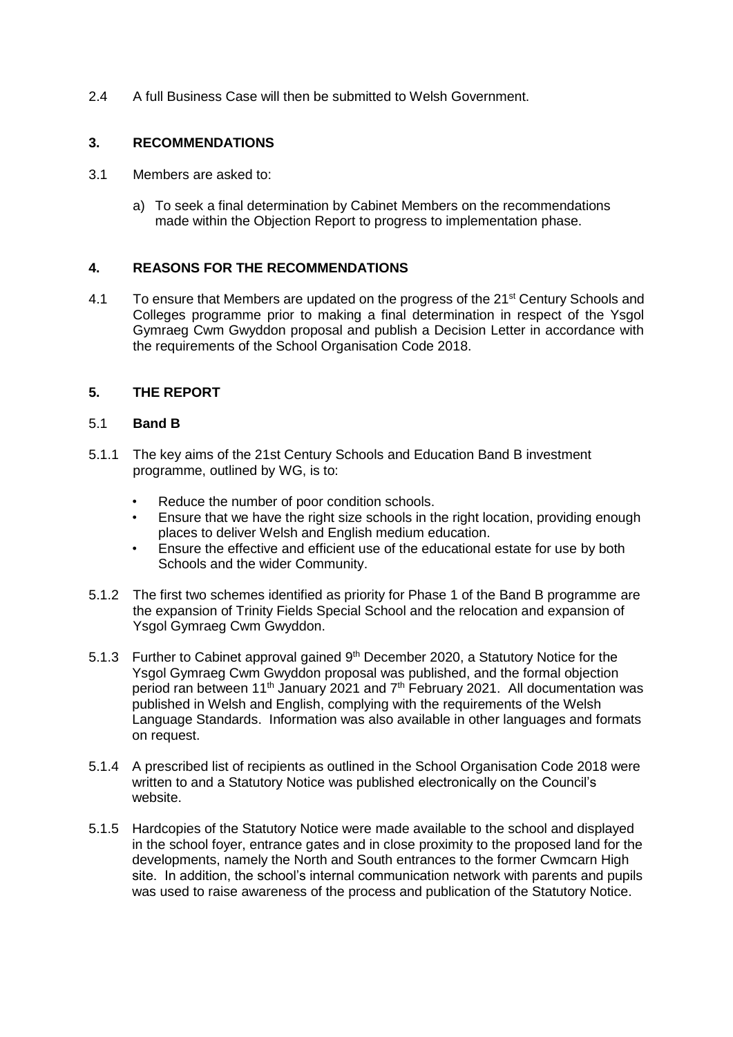2.4 A full Business Case will then be submitted to Welsh Government.

# **3. RECOMMENDATIONS**

- 3.1 Members are asked to:
	- a) To seek a final determination by Cabinet Members on the recommendations made within the Objection Report to progress to implementation phase.

# **4. REASONS FOR THE RECOMMENDATIONS**

4.1 To ensure that Members are updated on the progress of the 21<sup>st</sup> Century Schools and Colleges programme prior to making a final determination in respect of the Ysgol Gymraeg Cwm Gwyddon proposal and publish a Decision Letter in accordance with the requirements of the School Organisation Code 2018.

# **5. THE REPORT**

#### 5.1 **Band B**

- 5.1.1 The key aims of the 21st Century Schools and Education Band B investment programme, outlined by WG, is to:
	- Reduce the number of poor condition schools.
	- Ensure that we have the right size schools in the right location, providing enough places to deliver Welsh and English medium education.
	- Ensure the effective and efficient use of the educational estate for use by both Schools and the wider Community.
- 5.1.2 The first two schemes identified as priority for Phase 1 of the Band B programme are the expansion of Trinity Fields Special School and the relocation and expansion of Ysgol Gymraeg Cwm Gwyddon.
- 5.1.3 Further to Cabinet approval gained 9<sup>th</sup> December 2020, a Statutory Notice for the Ysgol Gymraeg Cwm Gwyddon proposal was published, and the formal objection period ran between 11<sup>th</sup> January 2021 and 7<sup>th</sup> February 2021. All documentation was published in Welsh and English, complying with the requirements of the Welsh Language Standards. Information was also available in other languages and formats on request.
- 5.1.4 A prescribed list of recipients as outlined in the School Organisation Code 2018 were written to and a Statutory Notice was published electronically on the Council's website.
- 5.1.5 Hardcopies of the Statutory Notice were made available to the school and displayed in the school foyer, entrance gates and in close proximity to the proposed land for the developments, namely the North and South entrances to the former Cwmcarn High site. In addition, the school's internal communication network with parents and pupils was used to raise awareness of the process and publication of the Statutory Notice.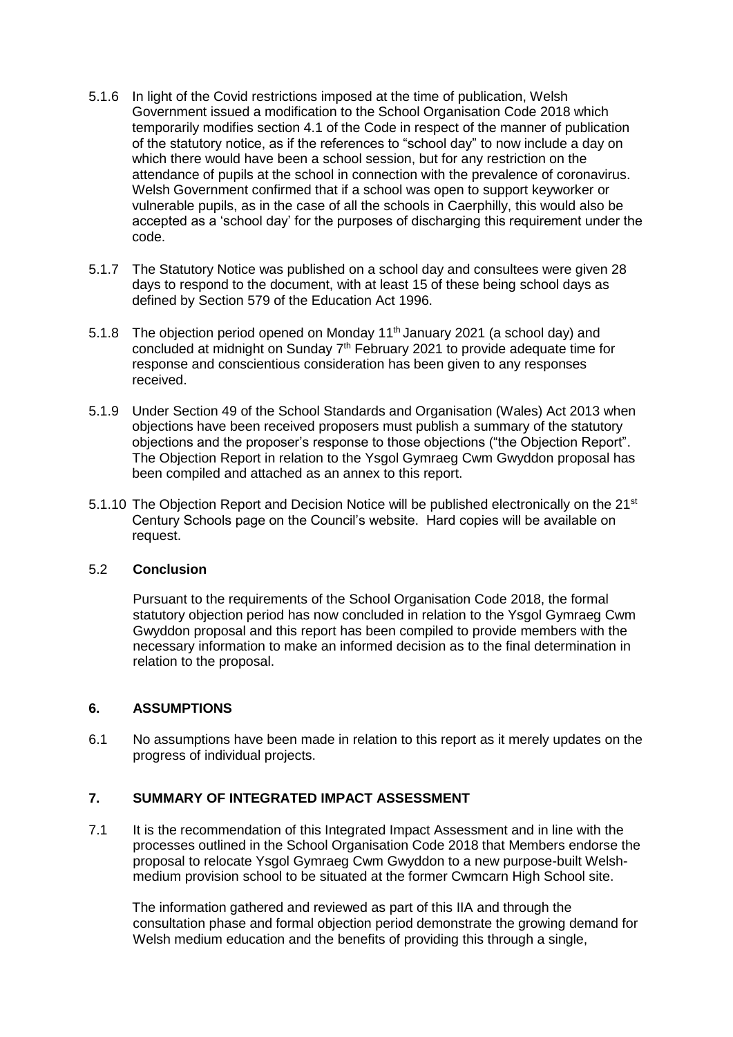- 5.1.6 In light of the Covid restrictions imposed at the time of publication, Welsh Government issued a modification to the School Organisation Code 2018 which temporarily modifies section 4.1 of the Code in respect of the manner of publication of the statutory notice, as if the references to "school day" to now include a day on which there would have been a school session, but for any restriction on the attendance of pupils at the school in connection with the prevalence of coronavirus. Welsh Government confirmed that if a school was open to support keyworker or vulnerable pupils, as in the case of all the schools in Caerphilly, this would also be accepted as a 'school day' for the purposes of discharging this requirement under the code.
- 5.1.7 The Statutory Notice was published on a school day and consultees were given 28 days to respond to the document, with at least 15 of these being school days as defined by Section 579 of the Education Act 1996.
- 5.1.8 The objection period opened on Monday 11<sup>th</sup> January 2021 (a school day) and concluded at midnight on Sunday  $7<sup>th</sup>$  February 2021 to provide adequate time for response and conscientious consideration has been given to any responses received.
- 5.1.9 Under Section 49 of the School Standards and Organisation (Wales) Act 2013 when objections have been received proposers must publish a summary of the statutory objections and the proposer's response to those objections ("the Objection Report". The Objection Report in relation to the Ysgol Gymraeg Cwm Gwyddon proposal has been compiled and attached as an annex to this report.
- 5.1.10 The Objection Report and Decision Notice will be published electronically on the 21<sup>st</sup> Century Schools page on the Council's website. Hard copies will be available on request.

#### 5.2 **Conclusion**

Pursuant to the requirements of the School Organisation Code 2018, the formal statutory objection period has now concluded in relation to the Ysgol Gymraeg Cwm Gwyddon proposal and this report has been compiled to provide members with the necessary information to make an informed decision as to the final determination in relation to the proposal.

#### **6. ASSUMPTIONS**

6.1 No assumptions have been made in relation to this report as it merely updates on the progress of individual projects.

#### **7. SUMMARY OF INTEGRATED IMPACT ASSESSMENT**

7.1 It is the recommendation of this Integrated Impact Assessment and in line with the processes outlined in the School Organisation Code 2018 that Members endorse the proposal to relocate Ysgol Gymraeg Cwm Gwyddon to a new purpose-built Welshmedium provision school to be situated at the former Cwmcarn High School site.

The information gathered and reviewed as part of this IIA and through the consultation phase and formal objection period demonstrate the growing demand for Welsh medium education and the benefits of providing this through a single,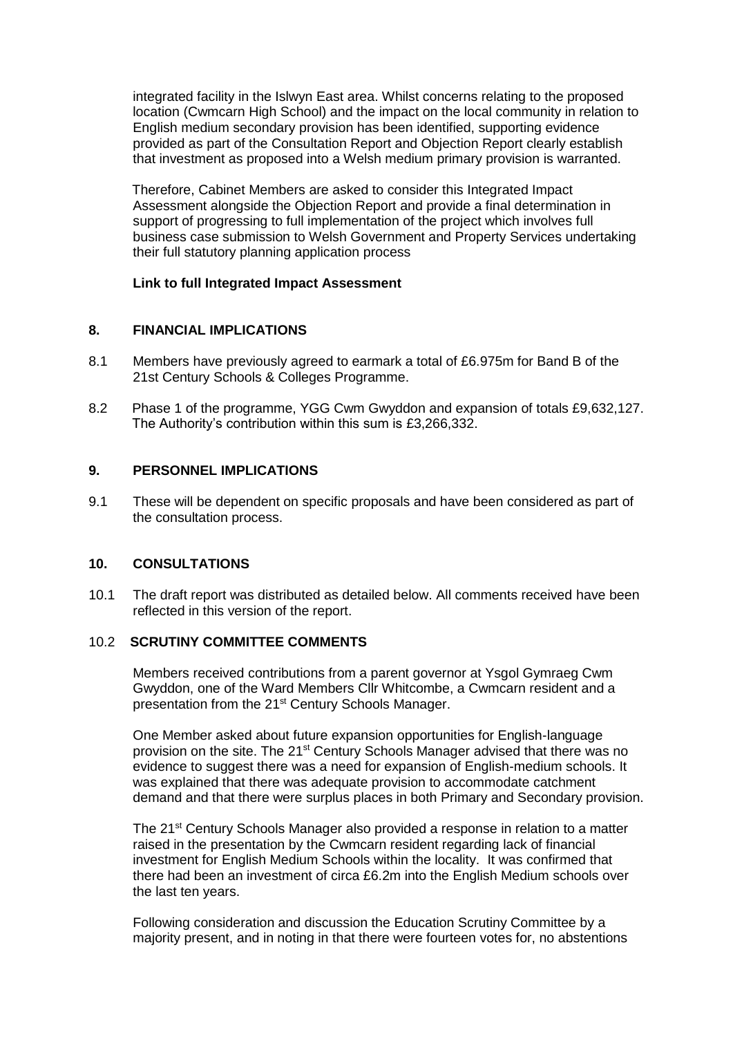integrated facility in the Islwyn East area. Whilst concerns relating to the proposed location (Cwmcarn High School) and the impact on the local community in relation to English medium secondary provision has been identified, supporting evidence provided as part of the Consultation Report and Objection Report clearly establish that investment as proposed into a Welsh medium primary provision is warranted.

Therefore, Cabinet Members are asked to consider this Integrated Impact Assessment alongside the Objection Report and provide a final determination in support of progressing to full implementation of the project which involves full business case submission to Welsh Government and Property Services undertaking their full statutory planning application process

#### **[Link to full Integrated Impact Assessment](https://www.caerphilly.gov.uk/CaerphillyDocs/Consultations/Integrated-Impact-Assessment-(Cwm-Gwyddon).aspx)**

#### **8. FINANCIAL IMPLICATIONS**

- 8.1 Members have previously agreed to earmark a total of £6.975m for Band B of the 21st Century Schools & Colleges Programme.
- 8.2 Phase 1 of the programme, YGG Cwm Gwyddon and expansion of totals £9,632,127. The Authority's contribution within this sum is £3,266,332.

#### **9. PERSONNEL IMPLICATIONS**

9.1 These will be dependent on specific proposals and have been considered as part of the consultation process.

#### **10. CONSULTATIONS**

10.1 The draft report was distributed as detailed below. All comments received have been reflected in this version of the report.

#### 10.2 **SCRUTINY COMMITTEE COMMENTS**

Members received contributions from a parent governor at Ysgol Gymraeg Cwm Gwyddon, one of the Ward Members Cllr Whitcombe, a Cwmcarn resident and a presentation from the 21<sup>st</sup> Century Schools Manager.

One Member asked about future expansion opportunities for English-language provision on the site. The 21st Century Schools Manager advised that there was no evidence to suggest there was a need for expansion of English-medium schools. It was explained that there was adequate provision to accommodate catchment demand and that there were surplus places in both Primary and Secondary provision.

The 21st Century Schools Manager also provided a response in relation to a matter raised in the presentation by the Cwmcarn resident regarding lack of financial investment for English Medium Schools within the locality. It was confirmed that there had been an investment of circa £6.2m into the English Medium schools over the last ten years.

Following consideration and discussion the Education Scrutiny Committee by a majority present, and in noting in that there were fourteen votes for, no abstentions